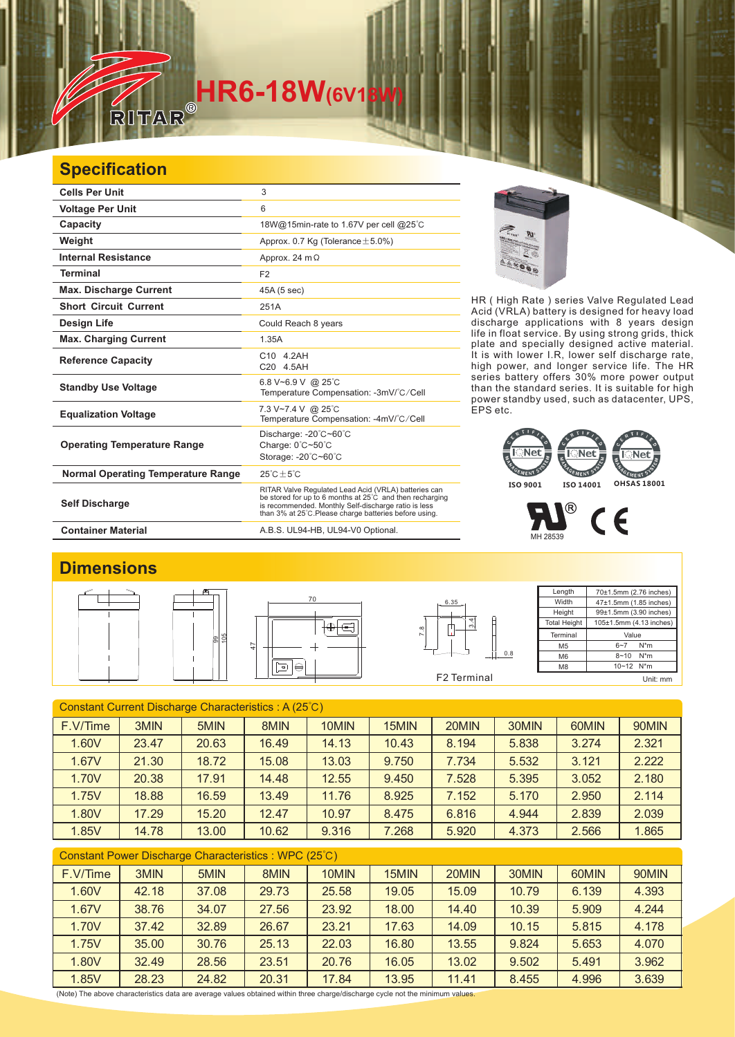# **HR6-18W**(6V18

### **Specification**

| <b>Cells Per Unit</b>                     | 3                                                                                                                                                                                                                                  |
|-------------------------------------------|------------------------------------------------------------------------------------------------------------------------------------------------------------------------------------------------------------------------------------|
| <b>Voltage Per Unit</b>                   | 6                                                                                                                                                                                                                                  |
| <b>Capacity</b>                           | 18W@15min-rate to 1.67V per cell @25°C                                                                                                                                                                                             |
| Weight                                    | Approx. 0.7 Kg (Tolerance $\pm$ 5.0%)                                                                                                                                                                                              |
| <b>Internal Resistance</b>                | Approx. 24 $m\Omega$                                                                                                                                                                                                               |
| <b>Terminal</b>                           | F <sub>2</sub>                                                                                                                                                                                                                     |
| <b>Max. Discharge Current</b>             | 45A (5 sec)                                                                                                                                                                                                                        |
| <b>Short Circuit Current</b>              | 251A                                                                                                                                                                                                                               |
| Design Life                               | Could Reach 8 years                                                                                                                                                                                                                |
| <b>Max. Charging Current</b>              | 1.35A                                                                                                                                                                                                                              |
| <b>Reference Capacity</b>                 | C10 4.2AH<br>C20 4.5AH                                                                                                                                                                                                             |
| <b>Standby Use Voltage</b>                | 6.8 V~6.9 V @ 25°C<br>Temperature Compensation: -3mV/°C/Cell                                                                                                                                                                       |
| <b>Equalization Voltage</b>               | 7.3 V~7.4 V @ 25°C<br>Temperature Compensation: -4mV/°C/Cell                                                                                                                                                                       |
| <b>Operating Temperature Range</b>        | Discharge: $-20^{\circ}$ C $-60^{\circ}$ C<br>Charge: 0°C~50°C<br>Storage: -20°C~60°C                                                                                                                                              |
| <b>Normal Operating Temperature Range</b> | $25^{\circ}$ C + 5 $^{\circ}$ C                                                                                                                                                                                                    |
| <b>Self Discharge</b>                     | RITAR Valve Regulated Lead Acid (VRLA) batteries can<br>be stored for up to 6 months at 25°C and then recharging<br>is recommended. Monthly Self-discharge ratio is less<br>than 3% at 25°C. Please charge batteries before using. |
| <b>Container Material</b>                 | A.B.S. UL94-HB, UL94-V0 Optional.                                                                                                                                                                                                  |



HR ( High Rate ) series Valve Regulated Lead Acid (VRLA) battery is designed for heavy load discharge applications with 8 years design life in float service. By using strong grids, and specially designed active material. It is with lower I.R, lower self discharge rate, high power, and longer service life. The HR series battery offers 30% more power output than the standard series. It is suitable for high power standby used, such as datacenter, UPS, EPS etc. thick plate



## $\sum_{M+28539}$  CE

#### **Dimensions**









**Length Width Height** Total Heigh 70±1.5mm (2.76 inches) 47±1.5mm (1.85 inches) 99±1.5mm (3.90 inches) 105±1.5mm (4.13 inches) Terminal M5 M6 M8 Value 6~7 N\*m 8~10 N\*m 10~12 N\*m Unit: mm

| Constant Current Discharge Characteristics: A (25°C) |       |       |       |       |       |       |       |       |       |
|------------------------------------------------------|-------|-------|-------|-------|-------|-------|-------|-------|-------|
| F.V/Time                                             | 3MIN  | 5MIN  | 8MIN  | 10MIN | 15MIN | 20MIN | 30MIN | 60MIN | 90MIN |
| 1.60V                                                | 23.47 | 20.63 | 16.49 | 14.13 | 10.43 | 8.194 | 5.838 | 3.274 | 2.321 |
| 1.67V                                                | 21.30 | 18.72 | 15.08 | 13.03 | 9.750 | 7.734 | 5.532 | 3.121 | 2.222 |
| 1.70V                                                | 20.38 | 17.91 | 14.48 | 12.55 | 9.450 | 7.528 | 5.395 | 3.052 | 2.180 |
| 1.75V                                                | 18.88 | 16.59 | 13.49 | 11.76 | 8.925 | 7.152 | 5.170 | 2.950 | 2.114 |
| 1.80V                                                | 17.29 | 15.20 | 12.47 | 10.97 | 8.475 | 6.816 | 4.944 | 2.839 | 2.039 |
| 1.85V                                                | 14.78 | 13.00 | 10.62 | 9.316 | 7.268 | 5.920 | 4.373 | 2.566 | 1.865 |
|                                                      |       |       |       |       |       |       |       |       |       |

| Constant Power Discharge Characteristics : WPC (25°C) |       |       |       |       |       |       |       |       |       |
|-------------------------------------------------------|-------|-------|-------|-------|-------|-------|-------|-------|-------|
| F.V/Time                                              | 3MIN  | 5MIN  | 8MIN  | 10MIN | 15MIN | 20MIN | 30MIN | 60MIN | 90MIN |
| 1.60V                                                 | 42.18 | 37.08 | 29.73 | 25.58 | 19.05 | 15.09 | 10.79 | 6.139 | 4.393 |
| 1.67V                                                 | 38.76 | 34.07 | 27.56 | 23.92 | 18.00 | 14.40 | 10.39 | 5.909 | 4.244 |
| 1.70V                                                 | 37.42 | 32.89 | 26.67 | 23.21 | 17.63 | 14.09 | 10.15 | 5.815 | 4.178 |
| 1.75V                                                 | 35.00 | 30.76 | 25.13 | 22.03 | 16.80 | 13.55 | 9.824 | 5.653 | 4.070 |
| 1.80V                                                 | 32.49 | 28.56 | 23.51 | 20.76 | 16.05 | 13.02 | 9.502 | 5.491 | 3.962 |
| 1.85V                                                 | 28.23 | 24.82 | 20.31 | 17.84 | 13.95 | 11.41 | 8.455 | 4.996 | 3.639 |

(Note) The above characteristics data are average values obtained within three charge/discharge cycle not the minimum values.